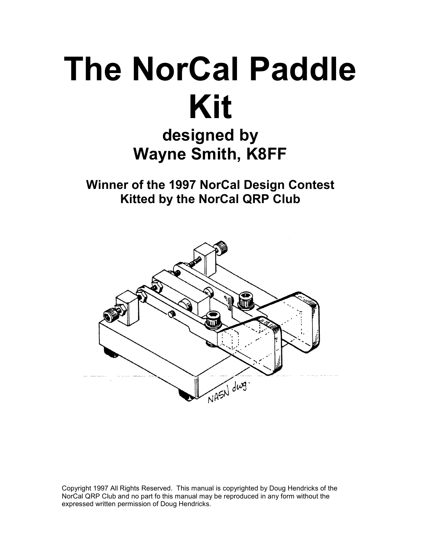# The NorCal Paddle Kit

# designed by Wayne Smith, K8FF

Winner of the 1997 NorCal Design Contest Kitted by the NorCal QRP Club



Copyright 1997 All Rights Reserved. This manual is copyrighted by Doug Hendricks of the NorCal QRP Club and no part fo this manual may be reproduced in any form without the expressed written permission of Doug Hendricks.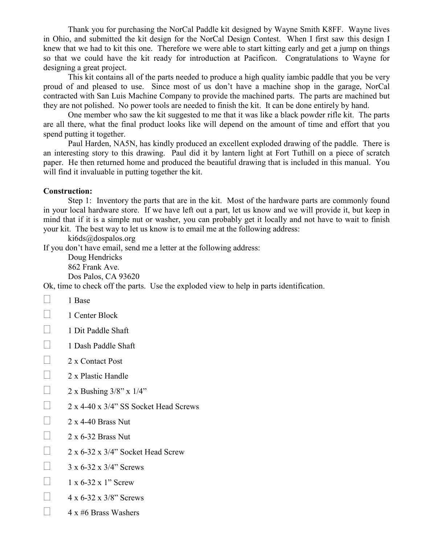Thank you for purchasing the NorCal Paddle kit designed by Wayne Smith K8FF. Wayne lives in Ohio, and submitted the kit design for the NorCal Design Contest. When I first saw this design I knew that we had to kit this one. Therefore we were able to start kitting early and get a jump on things so that we could have the kit ready for introduction at Pacificon. Congratulations to Wayne for designing a great project.

 This kit contains all of the parts needed to produce a high quality iambic paddle that you be very proud of and pleased to use. Since most of us don't have a machine shop in the garage, NorCal contracted with San Luis Machine Company to provide the machined parts. The parts are machined but they are not polished. No power tools are needed to finish the kit. It can be done entirely by hand.

 One member who saw the kit suggested to me that it was like a black powder rifle kit. The parts are all there, what the final product looks like will depend on the amount of time and effort that you spend putting it together.

 Paul Harden, NA5N, has kindly produced an excellent exploded drawing of the paddle. There is an interesting story to this drawing. Paul did it by lantern light at Fort Tuthill on a piece of scratch paper. He then returned home and produced the beautiful drawing that is included in this manual. You will find it invaluable in putting together the kit.

#### Construction:

 Step 1: Inventory the parts that are in the kit. Most of the hardware parts are commonly found in your local hardware store. If we have left out a part, let us know and we will provide it, but keep in mind that if it is a simple nut or washer, you can probably get it locally and not have to wait to finish your kit. The best way to let us know is to email me at the following address:

ki6ds@dospalos.org

If you don't have email, send me a letter at the following address:

 Doug Hendricks 862 Frank Ave. Dos Palos, CA 93620

Ok, time to check off the parts. Use the exploded view to help in parts identification.

1 Base

1 Center Block

1 Dit Paddle Shaft

1 Dash Paddle Shaft

2 x Contact Post

2 x Plastic Handle

2 x Bushing 3/8" x 1/4"

2 x 4-40 x 3/4" SS Socket Head Screws

2 x 4-40 Brass Nut

2 x 6-32 Brass Nut

2 x 6-32 x 3/4" Socket Head Screw

3 x 6-32 x 3/4" Screws

1 x 6-32 x 1" Screw

4 x 6-32 x 3/8" Screws

4 x #6 Brass Washers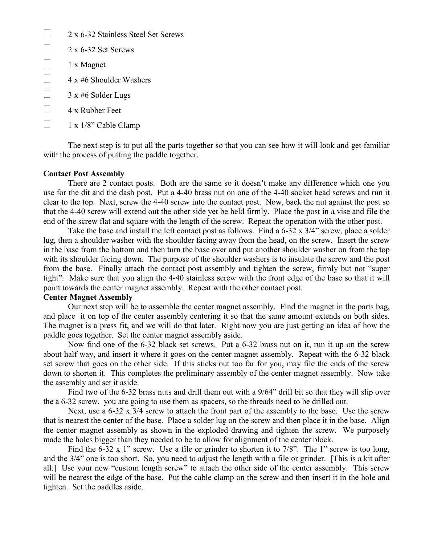2 x 6-32 Stainless Steel Set Screws

- 2 x 6-32 Set Screws
- 1 x Magnet
- 4 x #6 Shoulder Washers
- 3 x #6 Solder Lugs
- 4 x Rubber Feet
- 1 x 1/8" Cable Clamp

 The next step is to put all the parts together so that you can see how it will look and get familiar with the process of putting the paddle together.

#### Contact Post Assembly

 There are 2 contact posts. Both are the same so it doesn't make any difference which one you use for the dit and the dash post. Put a 4-40 brass nut on one of the 4-40 socket head screws and run it clear to the top. Next, screw the 4-40 screw into the contact post. Now, back the nut against the post so that the 4-40 screw will extend out the other side yet be held firmly. Place the post in a vise and file the end of the screw flat and square with the length of the screw. Repeat the operation with the other post.

Take the base and install the left contact post as follows. Find a 6-32 x 3/4" screw, place a solder lug, then a shoulder washer with the shoulder facing away from the head, on the screw. Insert the screw in the base from the bottom and then turn the base over and put another shoulder washer on from the top with its shoulder facing down. The purpose of the shoulder washers is to insulate the screw and the post from the base. Finally attach the contact post assembly and tighten the screw, firmly but not "super tight". Make sure that you align the 4-40 stainless screw with the front edge of the base so that it will point towards the center magnet assembly. Repeat with the other contact post.

## Center Magnet Assembly

 Our next step will be to assemble the center magnet assembly. Find the magnet in the parts bag, and place it on top of the center assembly centering it so that the same amount extends on both sides. The magnet is a press fit, and we will do that later. Right now you are just getting an idea of how the paddle goes together. Set the center magnet assembly aside.

 Now find one of the 6-32 black set screws. Put a 6-32 brass nut on it, run it up on the screw about half way, and insert it where it goes on the center magnet assembly. Repeat with the 6-32 black set screw that goes on the other side. If this sticks out too far for you, may file the ends of the screw down to shorten it. This completes the preliminary assembly of the center magnet assembly. Now take the assembly and set it aside.

 Find two of the 6-32 brass nuts and drill them out with a 9/64" drill bit so that they will slip over the a 6-32 screw. you are going to use them as spacers, so the threads need to be drilled out.

Next, use a 6-32 x 3/4 screw to attach the front part of the assembly to the base. Use the screw that is nearest the center of the base. Place a solder lug on the screw and then place it in the base. Align the center magnet assembly as shown in the exploded drawing and tighten the screw. We purposely made the holes bigger than they needed to be to allow for alignment of the center block.

Find the 6-32 x 1" screw. Use a file or grinder to shorten it to 7/8". The 1" screw is too long, and the 3/4" one is too short. So, you need to adjust the length with a file or grinder. [This is a kit after all.] Use your new "custom length screw" to attach the other side of the center assembly. This screw will be nearest the edge of the base. Put the cable clamp on the screw and then insert it in the hole and tighten. Set the paddles aside.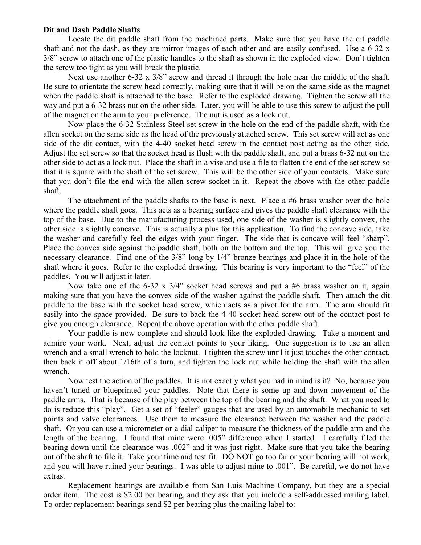### Dit and Dash Paddle Shafts

 Locate the dit paddle shaft from the machined parts. Make sure that you have the dit paddle shaft and not the dash, as they are mirror images of each other and are easily confused. Use a 6-32 x 3/8" screw to attach one of the plastic handles to the shaft as shown in the exploded view. Don't tighten the screw too tight as you will break the plastic.

Next use another 6-32 x  $3/8$ " screw and thread it through the hole near the middle of the shaft. Be sure to orientate the screw head correctly, making sure that it will be on the same side as the magnet when the paddle shaft is attached to the base. Refer to the exploded drawing. Tighten the screw all the way and put a 6-32 brass nut on the other side. Later, you will be able to use this screw to adjust the pull of the magnet on the arm to your preference. The nut is used as a lock nut.

 Now place the 6-32 Stainless Steel set screw in the hole on the end of the paddle shaft, with the allen socket on the same side as the head of the previously attached screw. This set screw will act as one side of the dit contact, with the 4-40 socket head screw in the contact post acting as the other side. Adjust the set screw so that the socket head is flush with the paddle shaft, and put a brass 6-32 nut on the other side to act as a lock nut. Place the shaft in a vise and use a file to flatten the end of the set screw so that it is square with the shaft of the set screw. This will be the other side of your contacts. Make sure that you don't file the end with the allen screw socket in it. Repeat the above with the other paddle shaft.

 The attachment of the paddle shafts to the base is next. Place a #6 brass washer over the hole where the paddle shaft goes. This acts as a bearing surface and gives the paddle shaft clearance with the top of the base. Due to the manufacturing process used, one side of the washer is slightly convex, the other side is slightly concave. This is actually a plus for this application. To find the concave side, take the washer and carefully feel the edges with your finger. The side that is concave will feel "sharp". Place the convex side against the paddle shaft, both on the bottom and the top. This will give you the necessary clearance. Find one of the 3/8" long by 1/4" bronze bearings and place it in the hole of the shaft where it goes. Refer to the exploded drawing. This bearing is very important to the "feel" of the paddles. You will adjust it later.

Now take one of the 6-32 x 3/4" socket head screws and put a #6 brass washer on it, again making sure that you have the convex side of the washer against the paddle shaft. Then attach the dit paddle to the base with the socket head screw, which acts as a pivot for the arm. The arm should fit easily into the space provided. Be sure to back the 4-40 socket head screw out of the contact post to give you enough clearance. Repeat the above operation with the other paddle shaft.

 Your paddle is now complete and should look like the exploded drawing. Take a moment and admire your work. Next, adjust the contact points to your liking. One suggestion is to use an allen wrench and a small wrench to hold the locknut. I tighten the screw until it just touches the other contact, then back it off about 1/16th of a turn, and tighten the lock nut while holding the shaft with the allen wrench.

 Now test the action of the paddles. It is not exactly what you had in mind is it? No, because you haven't tuned or blueprinted your paddles. Note that there is some up and down movement of the paddle arms. That is because of the play between the top of the bearing and the shaft. What you need to do is reduce this "play". Get a set of "feeler" gauges that are used by an automobile mechanic to set points and valve clearances. Use them to measure the clearance between the washer and the paddle shaft. Or you can use a micrometer or a dial caliper to measure the thickness of the paddle arm and the length of the bearing. I found that mine were .005" difference when I started. I carefully filed the bearing down until the clearance was .002" and it was just right. Make sure that you take the bearing out of the shaft to file it. Take your time and test fit. DO NOT go too far or your bearing will not work, and you will have ruined your bearings. I was able to adjust mine to .001". Be careful, we do not have extras.

 Replacement bearings are available from San Luis Machine Company, but they are a special order item. The cost is \$2.00 per bearing, and they ask that you include a self-addressed mailing label. To order replacement bearings send \$2 per bearing plus the mailing label to: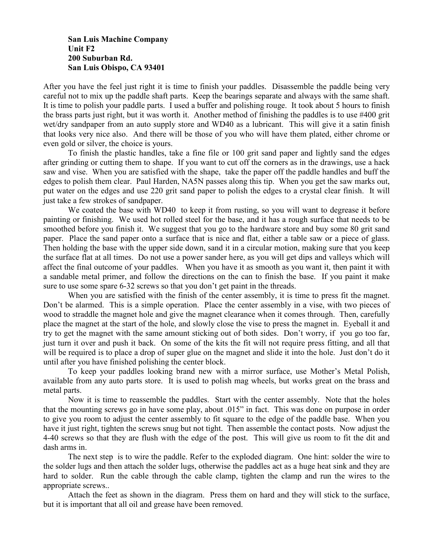San Luis Machine Company Unit F2 200 Suburban Rd. San Luis Obispo, CA 93401

After you have the feel just right it is time to finish your paddles. Disassemble the paddle being very careful not to mix up the paddle shaft parts. Keep the bearings separate and always with the same shaft. It is time to polish your paddle parts. I used a buffer and polishing rouge. It took about 5 hours to finish the brass parts just right, but it was worth it. Another method of finishing the paddles is to use #400 grit wet/dry sandpaper from an auto supply store and WD40 as a lubricant. This will give it a satin finish that looks very nice also. And there will be those of you who will have them plated, either chrome or even gold or silver, the choice is yours.

 To finish the plastic handles, take a fine file or 100 grit sand paper and lightly sand the edges after grinding or cutting them to shape. If you want to cut off the corners as in the drawings, use a hack saw and vise. When you are satisfied with the shape, take the paper off the paddle handles and buff the edges to polish them clear. Paul Harden, NA5N passes along this tip. When you get the saw marks out, put water on the edges and use 220 grit sand paper to polish the edges to a crystal clear finish. It will just take a few strokes of sandpaper.

We coated the base with WD40 to keep it from rusting, so you will want to degrease it before painting or finishing. We used hot rolled steel for the base, and it has a rough surface that needs to be smoothed before you finish it. We suggest that you go to the hardware store and buy some 80 grit sand paper. Place the sand paper onto a surface that is nice and flat, either a table saw or a piece of glass. Then holding the base with the upper side down, sand it in a circular motion, making sure that you keep the surface flat at all times. Do not use a power sander here, as you will get dips and valleys which will affect the final outcome of your paddles. When you have it as smooth as you want it, then paint it with a sandable metal primer, and follow the directions on the can to finish the base. If you paint it make sure to use some spare 6-32 screws so that you don't get paint in the threads.

 When you are satisfied with the finish of the center assembly, it is time to press fit the magnet. Don't be alarmed. This is a simple operation. Place the center assembly in a vise, with two pieces of wood to straddle the magnet hole and give the magnet clearance when it comes through. Then, carefully place the magnet at the start of the hole, and slowly close the vise to press the magnet in. Eyeball it and try to get the magnet with the same amount sticking out of both sides. Don't worry, if you go too far, just turn it over and push it back. On some of the kits the fit will not require press fitting, and all that will be required is to place a drop of super glue on the magnet and slide it into the hole. Just don't do it until after you have finished polishing the center block.

 To keep your paddles looking brand new with a mirror surface, use Mother's Metal Polish, available from any auto parts store. It is used to polish mag wheels, but works great on the brass and metal parts.

 Now it is time to reassemble the paddles. Start with the center assembly. Note that the holes that the mounting screws go in have some play, about .015" in fact. This was done on purpose in order to give you room to adjust the center assembly to fit square to the edge of the paddle base. When you have it just right, tighten the screws snug but not tight. Then assemble the contact posts. Now adjust the 4-40 screws so that they are flush with the edge of the post. This will give us room to fit the dit and dash arms in.

 The next step is to wire the paddle. Refer to the exploded diagram. One hint: solder the wire to the solder lugs and then attach the solder lugs, otherwise the paddles act as a huge heat sink and they are hard to solder. Run the cable through the cable clamp, tighten the clamp and run the wires to the appropriate screws..

 Attach the feet as shown in the diagram. Press them on hard and they will stick to the surface, but it is important that all oil and grease have been removed.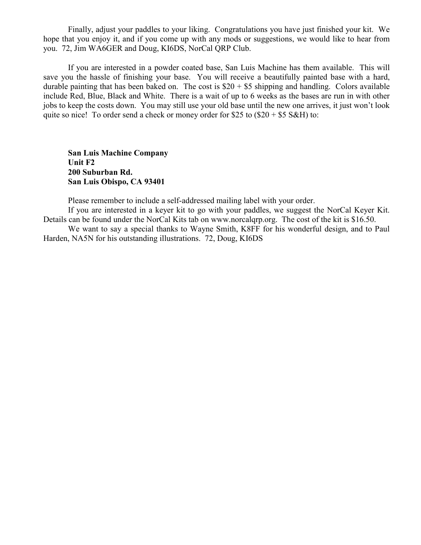Finally, adjust your paddles to your liking. Congratulations you have just finished your kit. We hope that you enjoy it, and if you come up with any mods or suggestions, we would like to hear from you. 72, Jim WA6GER and Doug, KI6DS, NorCal QRP Club.

 If you are interested in a powder coated base, San Luis Machine has them available. This will save you the hassle of finishing your base. You will receive a beautifully painted base with a hard, durable painting that has been baked on. The cost is  $$20 + $5$  shipping and handling. Colors available include Red, Blue, Black and White. There is a wait of up to 6 weeks as the bases are run in with other jobs to keep the costs down. You may still use your old base until the new one arrives, it just won't look quite so nice! To order send a check or money order for \$25 to  $(\$20 + \$5 \text{ S&H})$  to:

 San Luis Machine Company Unit F2 200 Suburban Rd. San Luis Obispo, CA 93401

Please remember to include a self-addressed mailing label with your order.

 If you are interested in a keyer kit to go with your paddles, we suggest the NorCal Keyer Kit. Details can be found under the NorCal Kits tab on www.norcalqrp.org. The cost of the kit is \$16.50.

 We want to say a special thanks to Wayne Smith, K8FF for his wonderful design, and to Paul Harden, NA5N for his outstanding illustrations. 72, Doug, KI6DS